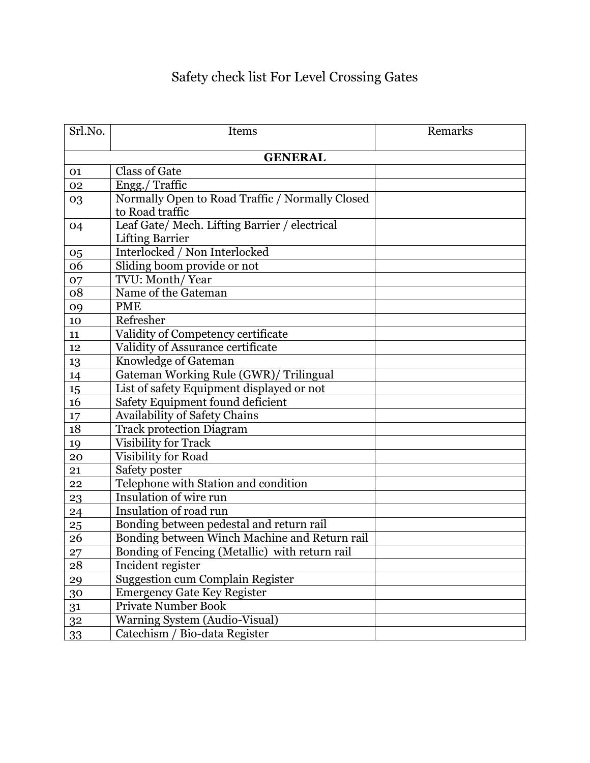## Safety check list For Level Crossing Gates

| Srl.No.        | Items                                                                   | Remarks |  |
|----------------|-------------------------------------------------------------------------|---------|--|
| <b>GENERAL</b> |                                                                         |         |  |
| 01             | <b>Class of Gate</b>                                                    |         |  |
| 02             | Engg./ Traffic                                                          |         |  |
| 03             | Normally Open to Road Traffic / Normally Closed<br>to Road traffic      |         |  |
| 04             | Leaf Gate/ Mech. Lifting Barrier / electrical<br><b>Lifting Barrier</b> |         |  |
| 05             | Interlocked / Non Interlocked                                           |         |  |
| 06             | Sliding boom provide or not                                             |         |  |
| 07             | TVU: Month/Year                                                         |         |  |
| 08             | Name of the Gateman                                                     |         |  |
| 09             | <b>PME</b>                                                              |         |  |
| 10             | Refresher                                                               |         |  |
| 11             | Validity of Competency certificate                                      |         |  |
| 12             | Validity of Assurance certificate                                       |         |  |
| 13             | Knowledge of Gateman                                                    |         |  |
| 14             | Gateman Working Rule (GWR)/ Trilingual                                  |         |  |
| 15             | List of safety Equipment displayed or not                               |         |  |
| 16             | Safety Equipment found deficient                                        |         |  |
| 17             | <b>Availability of Safety Chains</b>                                    |         |  |
| 18             | <b>Track protection Diagram</b>                                         |         |  |
| 19             | Visibility for Track                                                    |         |  |
| 20             | Visibility for Road                                                     |         |  |
| 21             | Safety poster                                                           |         |  |
| 22             | Telephone with Station and condition                                    |         |  |
| 23             | Insulation of wire run                                                  |         |  |
| 24             | Insulation of road run                                                  |         |  |
| 25             | Bonding between pedestal and return rail                                |         |  |
| 26             | Bonding between Winch Machine and Return rail                           |         |  |
| 27             | Bonding of Fencing (Metallic) with return rail                          |         |  |
| 28             | Incident register                                                       |         |  |
| 29             | <b>Suggestion cum Complain Register</b>                                 |         |  |
| 30             | Emergency Gate Key Register                                             |         |  |
| 31             | Private Number Book                                                     |         |  |
| 32             | Warning System (Audio-Visual)                                           |         |  |
| <u>33</u>      | Catechism / Bio-data Register                                           |         |  |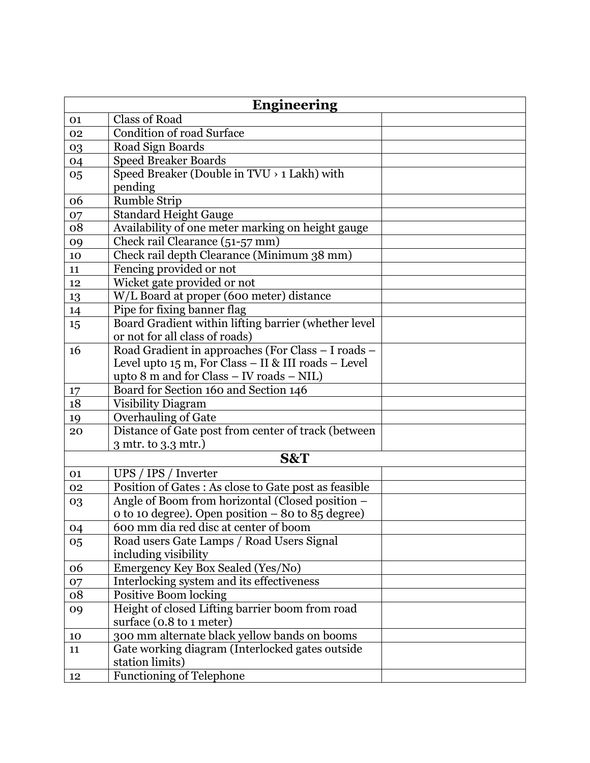| <b>Engineering</b> |                                                                   |  |
|--------------------|-------------------------------------------------------------------|--|
| 01                 | <b>Class of Road</b>                                              |  |
| 02                 | Condition of road Surface                                         |  |
| 03                 | Road Sign Boards                                                  |  |
| 04                 | <b>Speed Breaker Boards</b>                                       |  |
| 05                 | Speed Breaker (Double in TVU > 1 Lakh) with                       |  |
|                    | pending                                                           |  |
| 06                 | <b>Rumble Strip</b>                                               |  |
| 07                 | <b>Standard Height Gauge</b>                                      |  |
| 08                 | Availability of one meter marking on height gauge                 |  |
| 09                 | Check rail Clearance (51-57 mm)                                   |  |
| 10                 | Check rail depth Clearance (Minimum 38 mm)                        |  |
| 11                 | Fencing provided or not                                           |  |
| 12                 | Wicket gate provided or not                                       |  |
| 13                 | W/L Board at proper (600 meter) distance                          |  |
| 14                 | Pipe for fixing banner flag                                       |  |
| 15                 | Board Gradient within lifting barrier (whether level              |  |
|                    | or not for all class of roads)                                    |  |
| 16                 | Road Gradient in approaches (For Class - I roads -                |  |
|                    | Level upto 15 m, For Class - II & III roads - Level               |  |
|                    | upto 8 m and for Class - IV roads - NIL)                          |  |
| 17                 | Board for Section 160 and Section 146                             |  |
| 18                 | <b>Visibility Diagram</b>                                         |  |
| 19                 | Overhauling of Gate                                               |  |
| 20                 | Distance of Gate post from center of track (between               |  |
|                    | 3 mtr. to 3.3 mtr.)                                               |  |
|                    | S&T                                                               |  |
| 01                 | UPS / IPS / Inverter                                              |  |
| 02                 | Position of Gates : As close to Gate post as feasible             |  |
| 03                 | Angle of Boom from horizontal (Closed position -                  |  |
|                    | o to 10 degree). Open position - 80 to 85 degree)                 |  |
| 04                 | 600 mm dia red disc at center of boom                             |  |
| 05                 | Road users Gate Lamps / Road Users Signal<br>including visibility |  |
| 06                 | Emergency Key Box Sealed (Yes/No)                                 |  |
| 07                 | Interlocking system and its effectiveness                         |  |
| 08                 | <b>Positive Boom locking</b>                                      |  |
| 09                 | Height of closed Lifting barrier boom from road                   |  |
|                    | surface (0.8 to 1 meter)                                          |  |
| 10                 | 300 mm alternate black yellow bands on booms                      |  |
| 11                 | Gate working diagram (Interlocked gates outside                   |  |
|                    | station limits)                                                   |  |
| 12                 | <b>Functioning of Telephone</b>                                   |  |